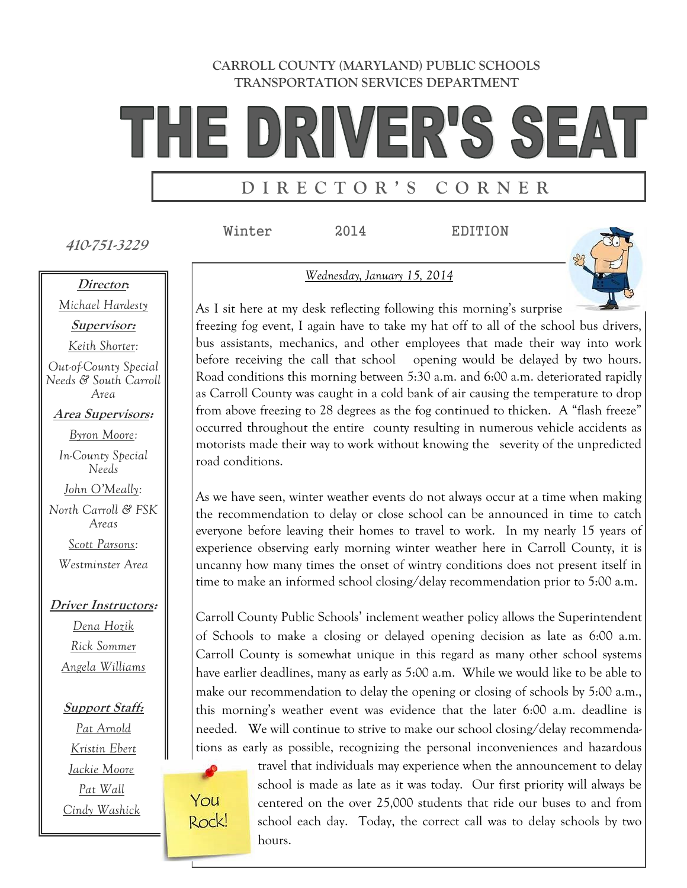#### **CARROLL COUNTY (MARYLAND) PUBLIC SCHOOLS TRANSPORTATION SERVICES DEPARTMENT**

# THE DRIVER'S SEAT

## **D I R E C T O R ' S C O R N E R**

Winter 2014 EDITION

**410-751-3229**

**Director:** *Michael Hardesty* **Supervisor:** *Keith Shorter: Out-of-County Special Needs & South Carroll Area* **Area Supervisors:** *Byron Moore: In-County Special Needs John O'Meally: North Carroll & FSK Areas Scott Parsons: Westminster Area*

**Driver Instructors:** *Dena Hozik Rick Sommer Angela Williams*

> **Support Staff:** *Pat Arnold Kristin Ebert Jackie Moore Pat Wall Cindy Washick*

*Wednesday, January 15, 2014*



As I sit here at my desk reflecting following this morning's surprise freezing fog event, I again have to take my hat off to all of the school bus drivers, bus assistants, mechanics, and other employees that made their way into work before receiving the call that school opening would be delayed by two hours. Road conditions this morning between 5:30 a.m. and 6:00 a.m. deteriorated rapidly as Carroll County was caught in a cold bank of air causing the temperature to drop from above freezing to 28 degrees as the fog continued to thicken. A "flash freeze" occurred throughout the entire county resulting in numerous vehicle accidents as motorists made their way to work without knowing the severity of the unpredicted road conditions.

As we have seen, winter weather events do not always occur at a time when making the recommendation to delay or close school can be announced in time to catch everyone before leaving their homes to travel to work. In my nearly 15 years of experience observing early morning winter weather here in Carroll County, it is uncanny how many times the onset of wintry conditions does not present itself in time to make an informed school closing/delay recommendation prior to 5:00 a.m.

Carroll County Public Schools' inclement weather policy allows the Superintendent of Schools to make a closing or delayed opening decision as late as 6:00 a.m. Carroll County is somewhat unique in this regard as many other school systems have earlier deadlines, many as early as 5:00 a.m. While we would like to be able to make our recommendation to delay the opening or closing of schools by 5:00 a.m., this morning's weather event was evidence that the later 6:00 a.m. deadline is needed. We will continue to strive to make our school closing/delay recommendations as early as possible, recognizing the personal inconveniences and hazardous



travel that individuals may experience when the announcement to delay school is made as late as it was today. Our first priority will always be centered on the over 25,000 students that ride our buses to and from school each day. Today, the correct call was to delay schools by two hours.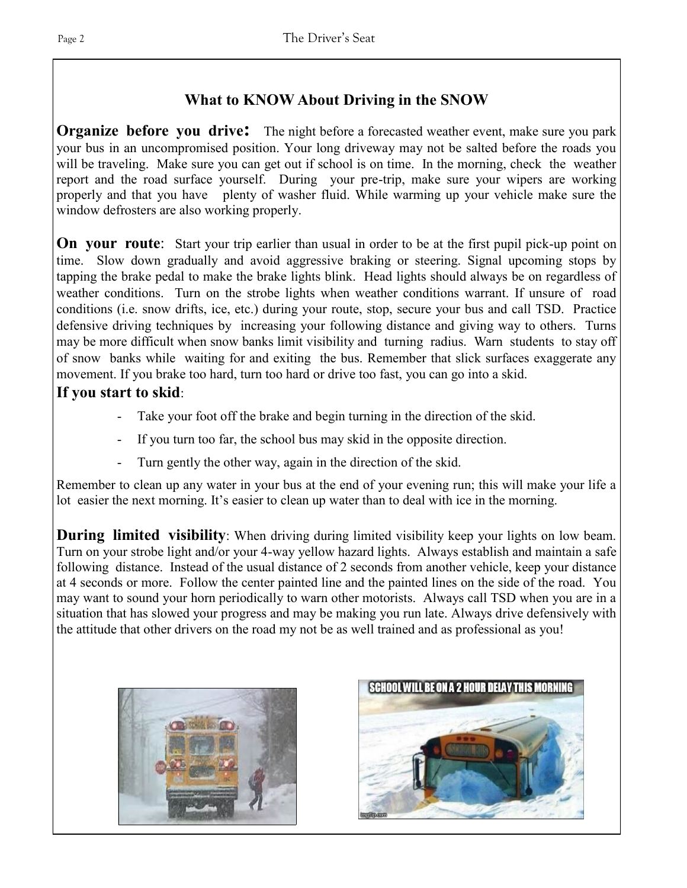## **What to KNOW About Driving in the SNOW**

**Organize before you drive:** The night before a forecasted weather event, make sure you park your bus in an uncompromised position. Your long driveway may not be salted before the roads you will be traveling. Make sure you can get out if school is on time. In the morning, check the weather report and the road surface yourself. During your pre-trip, make sure your wipers are working properly and that you have plenty of washer fluid. While warming up your vehicle make sure the window defrosters are also working properly.

**On your route:** Start your trip earlier than usual in order to be at the first pupil pick-up point on time. Slow down gradually and avoid aggressive braking or steering. Signal upcoming stops by tapping the brake pedal to make the brake lights blink. Head lights should always be on regardless of weather conditions. Turn on the strobe lights when weather conditions warrant. If unsure of road conditions (i.e. snow drifts, ice, etc.) during your route, stop, secure your bus and call TSD. Practice defensive driving techniques by increasing your following distance and giving way to others. Turns may be more difficult when snow banks limit visibility and turning radius. Warn students to stay off of snow banks while waiting for and exiting the bus. Remember that slick surfaces exaggerate any movement. If you brake too hard, turn too hard or drive too fast, you can go into a skid.

#### **If you start to skid**:

- Take your foot off the brake and begin turning in the direction of the skid.
- If you turn too far, the school bus may skid in the opposite direction.
- Turn gently the other way, again in the direction of the skid.

Remember to clean up any water in your bus at the end of your evening run; this will make your life a lot easier the next morning. It's easier to clean up water than to deal with ice in the morning.

**During limited visibility**: When driving during limited visibility keep your lights on low beam. Turn on your strobe light and/or your 4-way yellow hazard lights. Always establish and maintain a safe following distance. Instead of the usual distance of 2 seconds from another vehicle, keep your distance at 4 seconds or more. Follow the center painted line and the painted lines on the side of the road. You may want to sound your horn periodically to warn other motorists. Always call TSD when you are in a situation that has slowed your progress and may be making you run late. Always drive defensively with the attitude that other drivers on the road my not be as well trained and as professional as you!



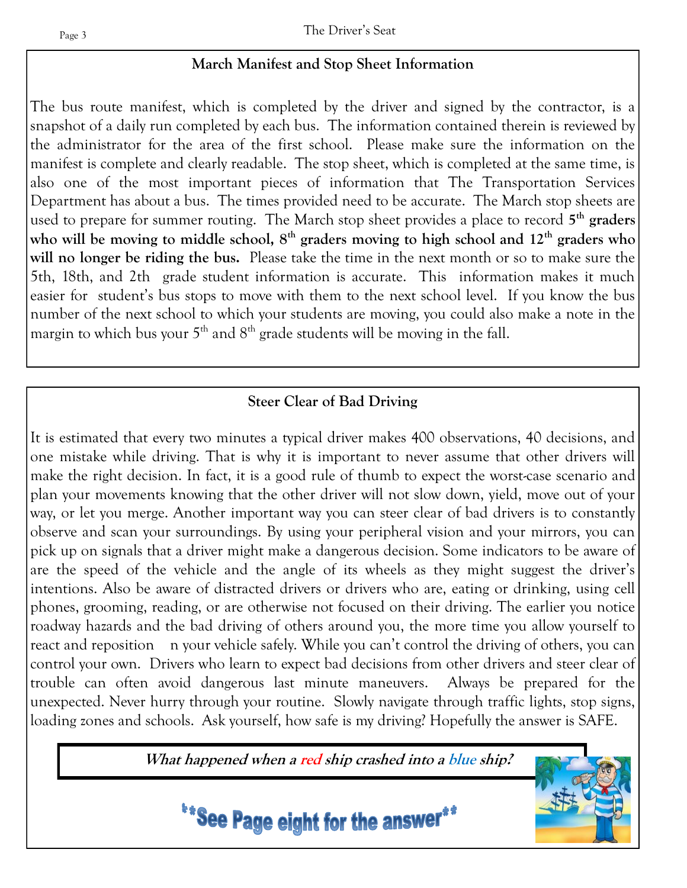## **March Manifest and Stop Sheet Information**

The bus route manifest, which is completed by the driver and signed by the contractor, is a snapshot of a daily run completed by each bus. The information contained therein is reviewed by the administrator for the area of the first school. Please make sure the information on the manifest is complete and clearly readable. The stop sheet, which is completed at the same time, is also one of the most important pieces of information that The Transportation Services Department has about a bus. The times provided need to be accurate. The March stop sheets are used to prepare for summer routing. The March stop sheet provides a place to record **5 th graders who will be moving to middle school, 8th graders moving to high school and 12th graders who will no longer be riding the bus.** Please take the time in the next month or so to make sure the 5th, 18th, and 2th grade student information is accurate. This information makes it much easier for student's bus stops to move with them to the next school level. If you know the bus number of the next school to which your students are moving, you could also make a note in the margin to which bus your  $5<sup>th</sup>$  and  $8<sup>th</sup>$  grade students will be moving in the fall.

## **Steer Clear of Bad Driving**

It is estimated that every two minutes a typical driver makes 400 observations, 40 decisions, and one mistake while driving. That is why it is important to never assume that other drivers will make the right decision. In fact, it is a good rule of thumb to expect the worst-case scenario and plan your movements knowing that the other driver will not slow down, yield, move out of your way, or let you merge. Another important way you can steer clear of bad drivers is to constantly observe and scan your surroundings. By using your peripheral vision and your mirrors, you can pick up on signals that a driver might make a dangerous decision. Some indicators to be aware of are the speed of the vehicle and the angle of its wheels as they might suggest the driver's intentions. Also be aware of distracted drivers or drivers who are, eating or drinking, using cell phones, grooming, reading, or are otherwise not focused on their driving. The earlier you notice roadway hazards and the bad driving of others around you, the more time you allow yourself to react and reposition n your vehicle safely. While you can't control the driving of others, you can control your own. Drivers who learn to expect bad decisions from other drivers and steer clear of trouble can often avoid dangerous last minute maneuvers. Always be prepared for the unexpected. Never hurry through your routine. Slowly navigate through traffic lights, stop signs, loading zones and schools. Ask yourself, how safe is my driving? Hopefully the answer is SAFE.

**What happened when a red ship crashed into a blue ship?**



\*\*See Page eight for the answer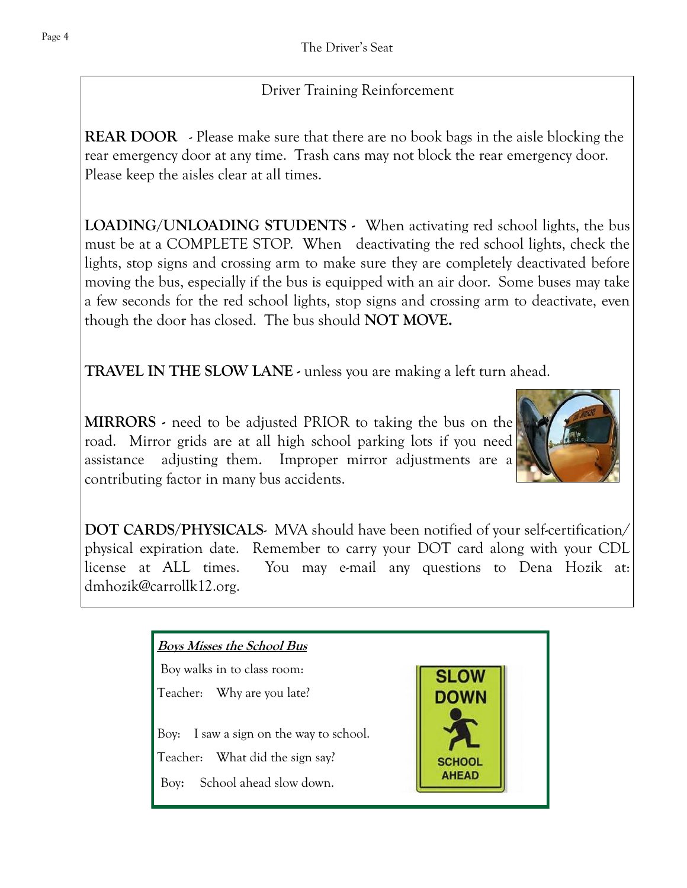## Driver Training Reinforcement

**REAR DOOR** - Please make sure that there are no book bags in the aisle blocking the rear emergency door at any time. Trash cans may not block the rear emergency door. Please keep the aisles clear at all times.

**LOADING/UNLOADING STUDENTS -** When activating red school lights, the bus must be at a COMPLETE STOP. When deactivating the red school lights, check the lights, stop signs and crossing arm to make sure they are completely deactivated before moving the bus, especially if the bus is equipped with an air door. Some buses may take a few seconds for the red school lights, stop signs and crossing arm to deactivate, even though the door has closed. The bus should **NOT MOVE.**

**TRAVEL IN THE SLOW LANE -** unless you are making a left turn ahead.

**MIRRORS -** need to be adjusted PRIOR to taking the bus on the road. Mirror grids are at all high school parking lots if you need assistance adjusting them. Improper mirror adjustments are a contributing factor in many bus accidents.

**DOT CARDS/PHYSICALS**- MVA should have been notified of your self-certification/ physical expiration date. Remember to carry your DOT card along with your CDL license at ALL times. You may e-mail any questions to Dena Hozik at: dmhozik@carrollk12.org.

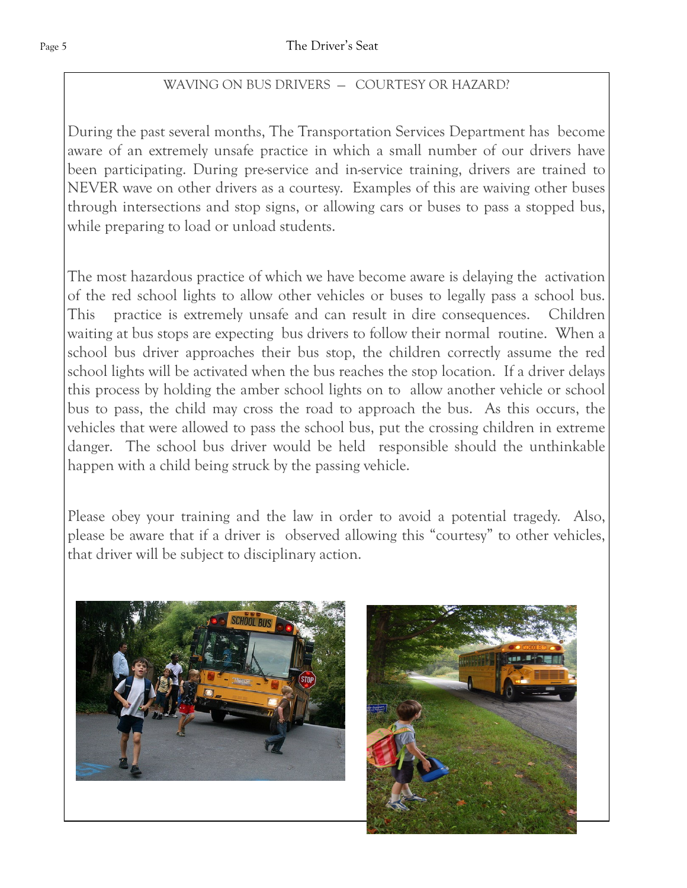### WAVING ON BUS DRIVERS — COURTESY OR HAZARD?

During the past several months, The Transportation Services Department has become aware of an extremely unsafe practice in which a small number of our drivers have been participating. During pre-service and in-service training, drivers are trained to NEVER wave on other drivers as a courtesy. Examples of this are waiving other buses through intersections and stop signs, or allowing cars or buses to pass a stopped bus, while preparing to load or unload students.

The most hazardous practice of which we have become aware is delaying the activation of the red school lights to allow other vehicles or buses to legally pass a school bus. This practice is extremely unsafe and can result in dire consequences. Children waiting at bus stops are expecting bus drivers to follow their normal routine. When a school bus driver approaches their bus stop, the children correctly assume the red school lights will be activated when the bus reaches the stop location. If a driver delays this process by holding the amber school lights on to allow another vehicle or school bus to pass, the child may cross the road to approach the bus. As this occurs, the vehicles that were allowed to pass the school bus, put the crossing children in extreme danger. The school bus driver would be held responsible should the unthinkable happen with a child being struck by the passing vehicle.

Please obey your training and the law in order to avoid a potential tragedy. Also, please be aware that if a driver is observed allowing this "courtesy" to other vehicles, that driver will be subject to disciplinary action.



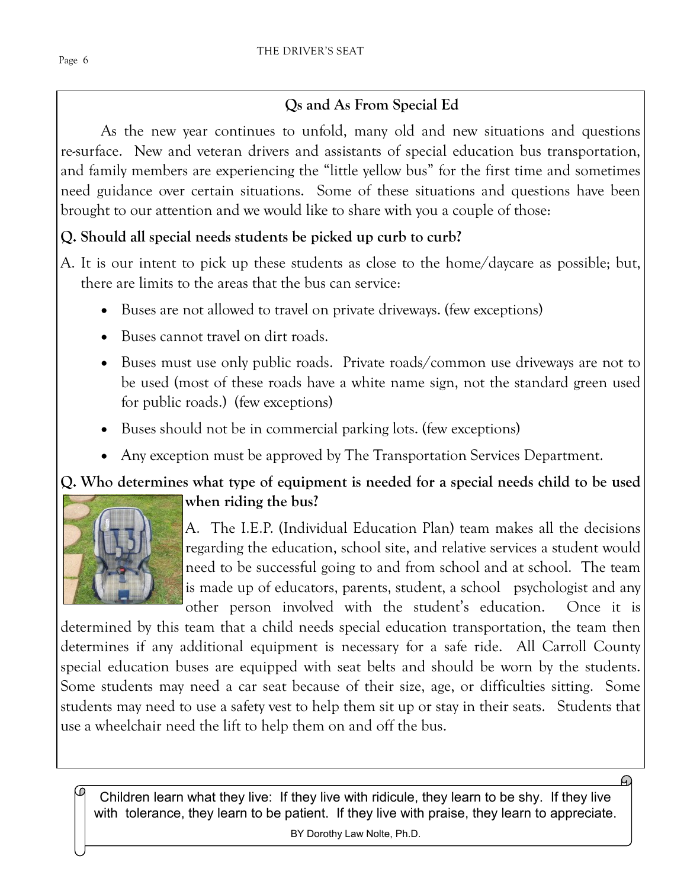## **Qs and As From Special Ed**

As the new year continues to unfold, many old and new situations and questions re-surface. New and veteran drivers and assistants of special education bus transportation, and family members are experiencing the "little yellow bus" for the first time and sometimes need guidance over certain situations. Some of these situations and questions have been brought to our attention and we would like to share with you a couple of those:

## **Q. Should all special needs students be picked up curb to curb?**

- A. It is our intent to pick up these students as close to the home/daycare as possible; but, there are limits to the areas that the bus can service:
	- Buses are not allowed to travel on private driveways. (few exceptions)
	- Buses cannot travel on dirt roads.
	- Buses must use only public roads. Private roads/common use driveways are not to be used (most of these roads have a white name sign, not the standard green used for public roads.) (few exceptions)
	- Buses should not be in commercial parking lots. (few exceptions)
	- Any exception must be approved by The Transportation Services Department.

## **Q. Who determines what type of equipment is needed for a special needs child to be used when riding the bus?**



A. The I.E.P. (Individual Education Plan) team makes all the decisions regarding the education, school site, and relative services a student would need to be successful going to and from school and at school. The team is made up of educators, parents, student, a school psychologist and any other person involved with the student's education. Once it is

determined by this team that a child needs special education transportation, the team then determines if any additional equipment is necessary for a safe ride. All Carroll County special education buses are equipped with seat belts and should be worn by the students. Some students may need a car seat because of their size, age, or difficulties sitting. Some students may need to use a safety vest to help them sit up or stay in their seats. Students that use a wheelchair need the lift to help them on and off the bus.

Children learn what they live: If they live with ridicule, they learn to be shy. If they live with tolerance, they learn to be patient. If they live with praise, they learn to appreciate. BY Dorothy Law Nolte, Ph.D.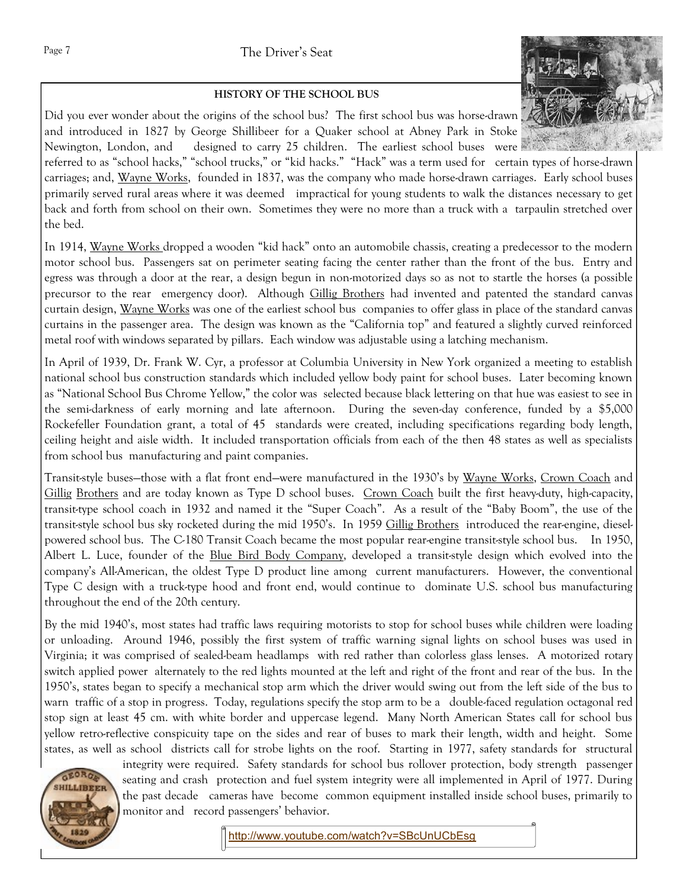

#### **HISTORY OF THE SCHOOL BUS**

Did you ever wonder about the origins of the school bus? The first school bus was horse-drawn and introduced in 1827 by George Shillibeer for a Quaker school at Abney Park in Stoke Newington, London, and designed to carry 25 children. The earliest school buses were

referred to as "school hacks," "school trucks," or "kid hacks." "Hack" was a term used for certain types of horse-drawn carriages; and, Wayne Works, founded in 1837, was the company who made horse-drawn carriages. Early school buses primarily served rural areas where it was deemed impractical for young students to walk the distances necessary to get back and forth from school on their own. Sometimes they were no more than a truck with a tarpaulin stretched over the bed.

In 1914, Wayne Works dropped a wooden "kid hack" onto an automobile chassis, creating a predecessor to the modern motor school bus. Passengers sat on perimeter seating facing the center rather than the front of the bus. Entry and egress was through a door at the rear, a design begun in non-motorized days so as not to startle the horses (a possible precursor to the rear emergency door). Although Gillig Brothers had invented and patented the standard canvas curtain design, Wayne Works was one of the earliest school bus companies to offer glass in place of the standard canvas curtains in the passenger area. The design was known as the "California top" and featured a slightly curved reinforced metal roof with windows separated by pillars. Each window was adjustable using a latching mechanism.

In April of 1939, Dr. Frank W. Cyr, a professor at Columbia University in New York organized a meeting to establish national school bus construction standards which included yellow body paint for school buses. Later becoming known as "National School Bus Chrome Yellow," the color was selected because black lettering on that hue was easiest to see in the semi-darkness of early morning and late afternoon. During the seven-day conference, funded by a \$5,000 Rockefeller Foundation grant, a total of 45 standards were created, including specifications regarding body length, ceiling height and aisle width. It included transportation officials from each of the then 48 states as well as specialists from school bus manufacturing and paint companies.

Transit-style buses—those with a flat front end—were manufactured in the 1930's by Wayne Works, Crown Coach and Gillig Brothers and are today known as Type D school buses. Crown Coach built the first heavy-duty, high-capacity, transit-type school coach in 1932 and named it the "Super Coach". As a result of the "Baby Boom", the use of the transit-style school bus sky rocketed during the mid 1950's. In 1959 Gillig Brothers introduced the rear-engine, dieselpowered school bus. The C-180 Transit Coach became the most popular rear-engine transit-style school bus. In 1950, Albert L. Luce, founder of the Blue Bird Body Company, developed a transit-style design which evolved into the company's All-American, the oldest Type D product line among current manufacturers. However, the conventional Type C design with a truck-type hood and front end, would continue to dominate U.S. school bus manufacturing throughout the end of the 20th century.

By the mid 1940's, most states had traffic laws requiring motorists to stop for school buses while children were loading or unloading. Around 1946, possibly the first system of traffic warning signal lights on school buses was used in Virginia; it was comprised of sealed-beam headlamps with red rather than colorless glass lenses. A motorized rotary switch applied power alternately to the red lights mounted at the left and right of the front and rear of the bus. In the 1950's, states began to specify a mechanical stop arm which the driver would swing out from the left side of the bus to warn traffic of a stop in progress. Today, regulations specify the stop arm to be a double-faced regulation octagonal red stop sign at least 45 cm. with white border and uppercase legend. Many North American States call for school bus yellow retro-reflective conspicuity tape on the sides and rear of buses to mark their length, width and height. Some states, as well as school districts call for strobe lights on the roof. Starting in 1977, safety standards for structural



integrity were required. Safety standards for school bus rollover protection, body strength passenger seating and crash protection and fuel system integrity were all implemented in April of 1977. During the past decade cameras have become common equipment installed inside school buses, primarily to monitor and record passengers' behavior.

<http://www.youtube.com/watch?v=SBcUnUCbEsg>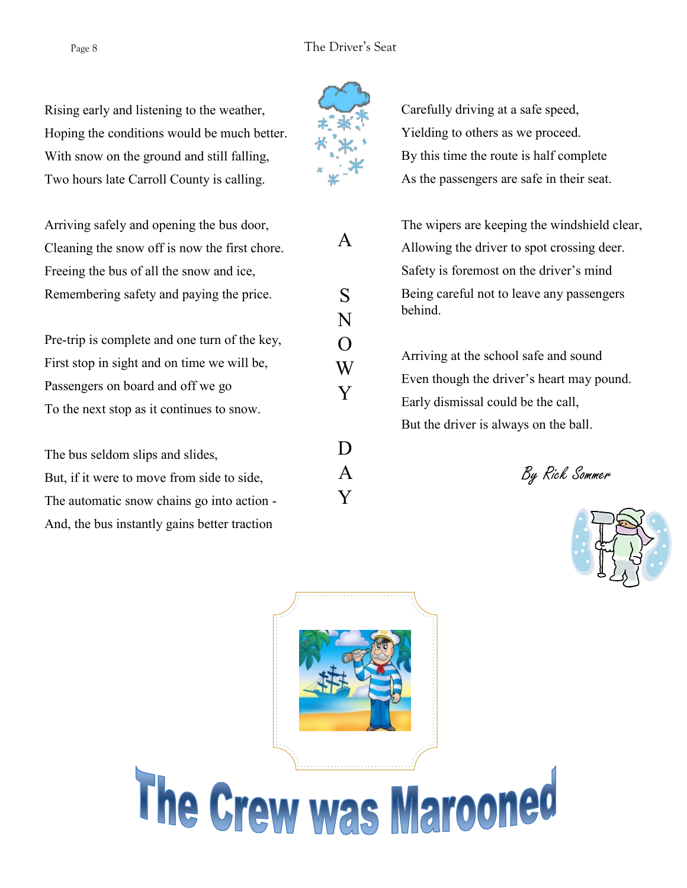A

S

N

 $\Omega$ 

W

Y

D.

A

Y

Rising early and listening to the weather, Hoping the conditions would be much better. With snow on the ground and still falling, Two hours late Carroll County is calling.

Arriving safely and opening the bus door, Cleaning the snow off is now the first chore. Freeing the bus of all the snow and ice, Remembering safety and paying the price.

Pre-trip is complete and one turn of the key, First stop in sight and on time we will be, Passengers on board and off we go To the next stop as it continues to snow.

The bus seldom slips and slides, But, if it were to move from side to side, The automatic snow chains go into action - And, the bus instantly gains better traction



The wipers are keeping the windshield clear, Allowing the driver to spot crossing deer. Safety is foremost on the driver's mind Being careful not to leave any passengers behind.

Arriving at the school safe and sound Even though the driver's heart may pound. Early dismissal could be the call, But the driver is always on the ball.

By Rick Sommer